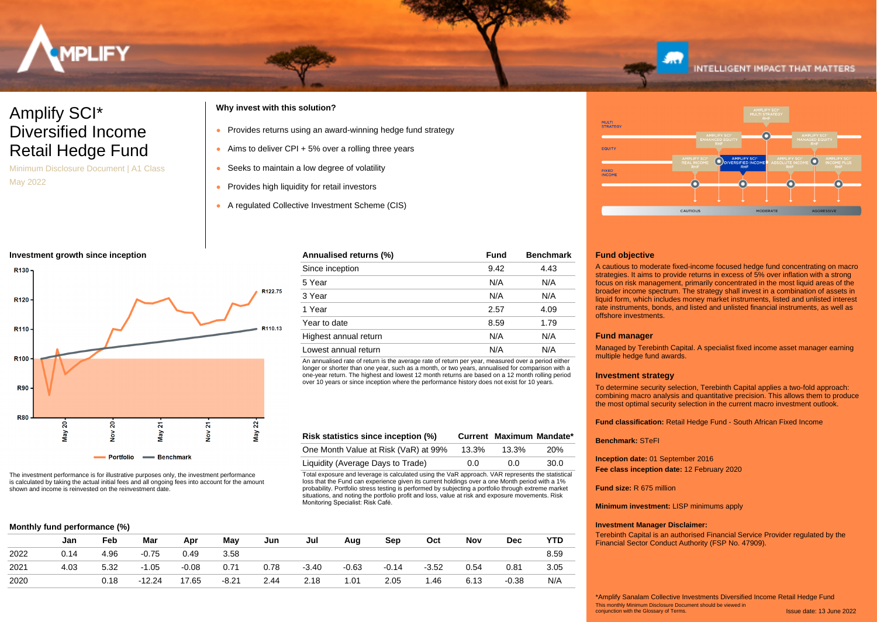

# Amplify SCI\* Diversified Income Retail Hedge Fund

Minimum Disclosure Document | A1 Class May 2022

## **Why invest with this solution?**

- Provides returns using an award-winning hedge fund strategy
- $\bullet$  Aims to deliver CPI + 5% over a rolling three years
- Seeks to maintain a low degree of volatility
- Provides high liquidity for retail investors
- A regulated Collective Investment Scheme (CIS)

## **Investment growth since inception**



The investment performance is for illustrative purposes only, the investment performance is calculated by taking the actual initial fees and all ongoing fees into account for the amount shown and income is reinvested on the reinvestment date.

## **Annualised returns (%) Fund Benchmark** Since inception 8.42 4.43 5 Year N/A N/A 3 Year N/A N/A 1 Year 2.57 4.09 Year to date 8.59 and 1.79 Highest annual return N/A N/A N/A Lowest annual return Night Note to the Nota Night Night Night Night Night Night Night Night Night Night Night N

An annualised rate of return is the average rate of return per year, measured over a period either longer or shorter than one year, such as a month, or two years, annualised for comparison with a one-year return. The highest and lowest 12 month returns are based on a 12 month rolling period over 10 years or since inception where the performance history does not exist for 10 years.

| Risk statistics since inception (%)  |       | Current Maximum Mandate* |      |
|--------------------------------------|-------|--------------------------|------|
| One Month Value at Risk (VaR) at 99% | 13.3% | 13.3%                    | 20%  |
| Liquidity (Average Days to Trade)    | 0.0   | 0.O                      | 30.0 |

Total exposure and leverage is calculated using the VaR approach. VAR represents the statistical loss that the Fund can experience given its current holdings over a one Month period with a 1% probability. Portfolio stress testing is performed by subjecting a portfolio through extreme market situations, and noting the portfolio profit and loss, value at risk and exposure movements. Risk Monitoring Specialist: Risk Café.

|      | Jan  | Feb  | Mar     | Apr     | May     | Jun  | Jul     | Aug     | Sep     | Oct     | Nov  | <b>Dec</b> | YTD  |
|------|------|------|---------|---------|---------|------|---------|---------|---------|---------|------|------------|------|
| 2022 | 0.14 | 4.96 | $-0.75$ | 0.49    | 3.58    |      |         |         |         |         |      |            | 8.59 |
| 2021 | 4.03 | 5.32 | $-1.05$ | $-0.08$ | 0.71    | 0.78 | $-3.40$ | $-0.63$ | $-0.14$ | $-3.52$ | 0.54 | 0.81       | 3.05 |
| 2020 |      | 0.18 | -12.24  | 17.65   | $-8.21$ | 2.44 | 2.18    | 1.01    | 2.05    | . 46    | 6.13 | $-0.38$    | N/A  |



**INTELLIGENT IMPACT THAT MATTERS** 

## **Fund objective**

A cautious to moderate fixed-income focused hedge fund concentrating on macro strategies. It aims to provide returns in excess of 5% over inflation with a strong focus on risk management, primarily concentrated in the most liquid areas of the broader income spectrum. The strategy shall invest in a combination of assets in liquid form, which includes money market instruments, listed and unlisted interest rate instruments, bonds, and listed and unlisted financial instruments, as well as offshore investments.

## **Fund manager**

Managed by Terebinth Capital. A specialist fixed income asset manager earning multiple hedge fund awards.

## **Investment strategy**

To determine security selection, Terebinth Capital applies a two-fold approach: combining macro analysis and quantitative precision. This allows them to produce the most optimal security selection in the current macro investment outlook.

**Fund classification:** Retail Hedge Fund - South African Fixed Income

## **Benchmark:** STeFI

**Inception date:** 01 September 2016 **Fee class inception date:** 12 February 2020

## **Fund size:** R 675 million

**Minimum investment:** LISP minimums apply

## **Investment Manager Disclaimer:**

Terebinth Capital is an authorised Financial Service Provider regulated by the Financial Sector Conduct Authority (FSP No. 47909).

Issue date: 13 June 2022 This monthly Minimum Disclosure Document should be viewed in conjunction with the Glossary of Terms. \*Amplify Sanalam Collective Investments Diversified Income Retail Hedge Fund

## **Monthly fund performance (%)**